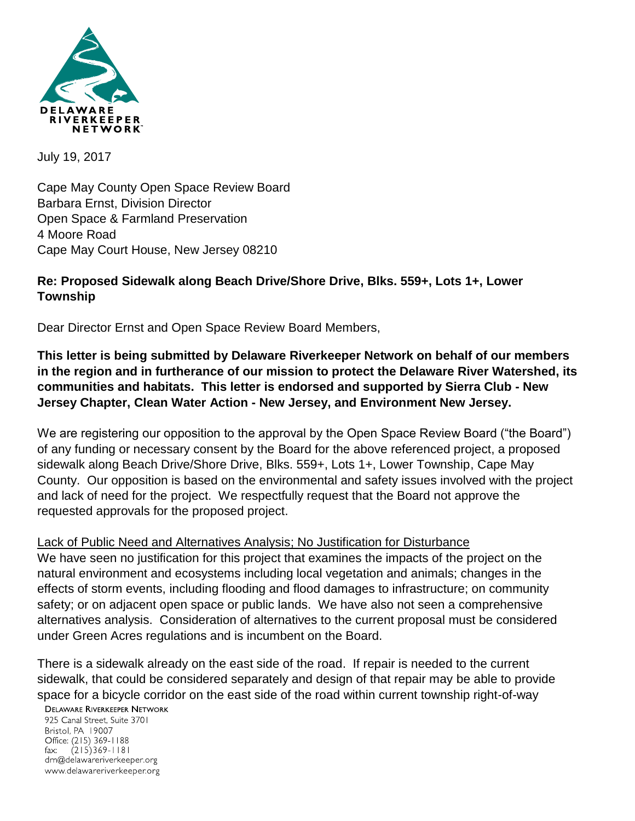

July 19, 2017

Cape May County Open Space Review Board Barbara Ernst, Division Director Open Space & Farmland Preservation 4 Moore Road Cape May Court House, New Jersey 08210

## **Re: Proposed Sidewalk along Beach Drive/Shore Drive, Blks. 559+, Lots 1+, Lower Township**

Dear Director Ernst and Open Space Review Board Members,

**This letter is being submitted by Delaware Riverkeeper Network on behalf of our members in the region and in furtherance of our mission to protect the Delaware River Watershed, its communities and habitats. This letter is endorsed and supported by Sierra Club - New Jersey Chapter, Clean Water Action - New Jersey, and Environment New Jersey.**

We are registering our opposition to the approval by the Open Space Review Board ("the Board") of any funding or necessary consent by the Board for the above referenced project, a proposed sidewalk along Beach Drive/Shore Drive, Blks. 559+, Lots 1+, Lower Township, Cape May County. Our opposition is based on the environmental and safety issues involved with the project and lack of need for the project. We respectfully request that the Board not approve the requested approvals for the proposed project.

Lack of Public Need and Alternatives Analysis; No Justification for Disturbance We have seen no justification for this project that examines the impacts of the project on the natural environment and ecosystems including local vegetation and animals; changes in the effects of storm events, including flooding and flood damages to infrastructure; on community safety; or on adjacent open space or public lands. We have also not seen a comprehensive alternatives analysis. Consideration of alternatives to the current proposal must be considered under Green Acres regulations and is incumbent on the Board.

There is a sidewalk already on the east side of the road. If repair is needed to the current sidewalk, that could be considered separately and design of that repair may be able to provide space for a bicycle corridor on the east side of the road within current township right-of-way

**DELAWARE RIVERKEEPER NETWORK** 

925 Canal Street, Suite 3701 Bristol, PA 19007 Office: (215) 369-1188 fax:  $(215)369 - 1181$ drn@delawareriverkeeper.org www.delawareriverkeeper.org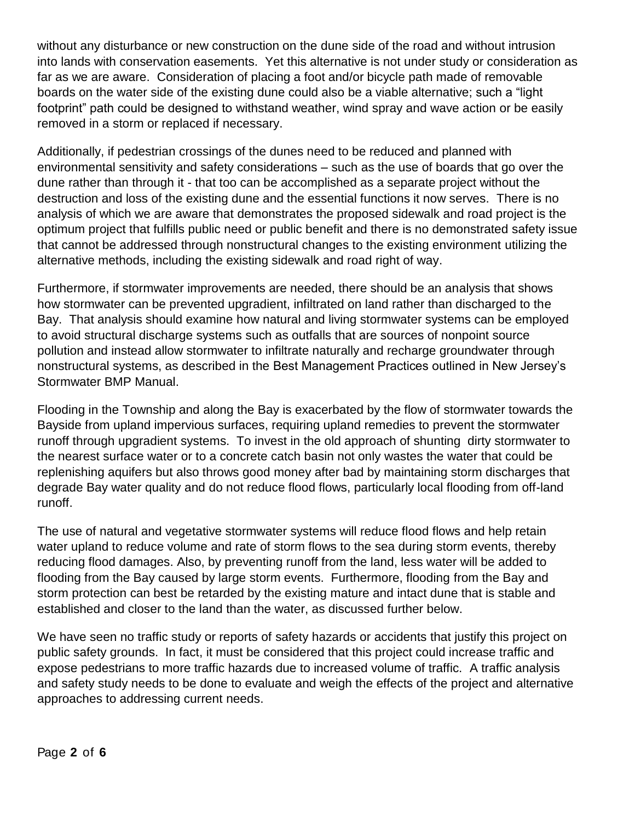without any disturbance or new construction on the dune side of the road and without intrusion into lands with conservation easements. Yet this alternative is not under study or consideration as far as we are aware. Consideration of placing a foot and/or bicycle path made of removable boards on the water side of the existing dune could also be a viable alternative; such a "light footprint" path could be designed to withstand weather, wind spray and wave action or be easily removed in a storm or replaced if necessary.

Additionally, if pedestrian crossings of the dunes need to be reduced and planned with environmental sensitivity and safety considerations – such as the use of boards that go over the dune rather than through it - that too can be accomplished as a separate project without the destruction and loss of the existing dune and the essential functions it now serves. There is no analysis of which we are aware that demonstrates the proposed sidewalk and road project is the optimum project that fulfills public need or public benefit and there is no demonstrated safety issue that cannot be addressed through nonstructural changes to the existing environment utilizing the alternative methods, including the existing sidewalk and road right of way.

Furthermore, if stormwater improvements are needed, there should be an analysis that shows how stormwater can be prevented upgradient, infiltrated on land rather than discharged to the Bay. That analysis should examine how natural and living stormwater systems can be employed to avoid structural discharge systems such as outfalls that are sources of nonpoint source pollution and instead allow stormwater to infiltrate naturally and recharge groundwater through nonstructural systems, as described in the Best Management Practices outlined in New Jersey's Stormwater BMP Manual.

Flooding in the Township and along the Bay is exacerbated by the flow of stormwater towards the Bayside from upland impervious surfaces, requiring upland remedies to prevent the stormwater runoff through upgradient systems. To invest in the old approach of shunting dirty stormwater to the nearest surface water or to a concrete catch basin not only wastes the water that could be replenishing aquifers but also throws good money after bad by maintaining storm discharges that degrade Bay water quality and do not reduce flood flows, particularly local flooding from off-land runoff.

The use of natural and vegetative stormwater systems will reduce flood flows and help retain water upland to reduce volume and rate of storm flows to the sea during storm events, thereby reducing flood damages. Also, by preventing runoff from the land, less water will be added to flooding from the Bay caused by large storm events. Furthermore, flooding from the Bay and storm protection can best be retarded by the existing mature and intact dune that is stable and established and closer to the land than the water, as discussed further below.

We have seen no traffic study or reports of safety hazards or accidents that justify this project on public safety grounds. In fact, it must be considered that this project could increase traffic and expose pedestrians to more traffic hazards due to increased volume of traffic. A traffic analysis and safety study needs to be done to evaluate and weigh the effects of the project and alternative approaches to addressing current needs.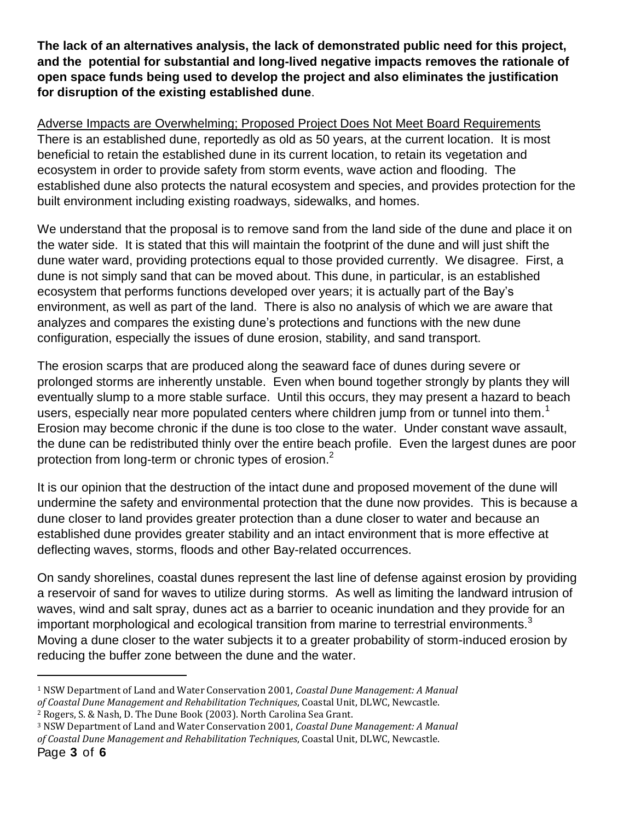**The lack of an alternatives analysis, the lack of demonstrated public need for this project, and the potential for substantial and long-lived negative impacts removes the rationale of open space funds being used to develop the project and also eliminates the justification for disruption of the existing established dune**.

Adverse Impacts are Overwhelming; Proposed Project Does Not Meet Board Requirements There is an established dune, reportedly as old as 50 years, at the current location. It is most beneficial to retain the established dune in its current location, to retain its vegetation and ecosystem in order to provide safety from storm events, wave action and flooding. The established dune also protects the natural ecosystem and species, and provides protection for the built environment including existing roadways, sidewalks, and homes.

We understand that the proposal is to remove sand from the land side of the dune and place it on the water side. It is stated that this will maintain the footprint of the dune and will just shift the dune water ward, providing protections equal to those provided currently. We disagree. First, a dune is not simply sand that can be moved about. This dune, in particular, is an established ecosystem that performs functions developed over years; it is actually part of the Bay's environment, as well as part of the land. There is also no analysis of which we are aware that analyzes and compares the existing dune's protections and functions with the new dune configuration, especially the issues of dune erosion, stability, and sand transport.

The erosion scarps that are produced along the seaward face of dunes during severe or prolonged storms are inherently unstable. Even when bound together strongly by plants they will eventually slump to a more stable surface. Until this occurs, they may present a hazard to beach users, especially near more populated centers where children jump from or tunnel into them.<sup>1</sup> Erosion may become chronic if the dune is too close to the water. Under constant wave assault, the dune can be redistributed thinly over the entire beach profile. Even the largest dunes are poor protection from long-term or chronic types of erosion.<sup>2</sup>

It is our opinion that the destruction of the intact dune and proposed movement of the dune will undermine the safety and environmental protection that the dune now provides. This is because a dune closer to land provides greater protection than a dune closer to water and because an established dune provides greater stability and an intact environment that is more effective at deflecting waves, storms, floods and other Bay-related occurrences.

On sandy shorelines, coastal dunes represent the last line of defense against erosion by providing a reservoir of sand for waves to utilize during storms. As well as limiting the landward intrusion of waves, wind and salt spray, dunes act as a barrier to oceanic inundation and they provide for an important morphological and ecological transition from marine to terrestrial environments.<sup>3</sup> Moving a dune closer to the water subjects it to a greater probability of storm-induced erosion by reducing the buffer zone between the dune and the water.

 $\overline{a}$ 

<sup>1</sup> NSW Department of Land and Water Conservation 2001, *Coastal Dune Management: A Manual of Coastal Dune Management and Rehabilitation Techniques*, Coastal Unit, DLWC, Newcastle.

<sup>2</sup> Rogers, S. & Nash, D. The Dune Book (2003). North Carolina Sea Grant.

<sup>3</sup> NSW Department of Land and Water Conservation 2001, *Coastal Dune Management: A Manual of Coastal Dune Management and Rehabilitation Techniques*, Coastal Unit, DLWC, Newcastle.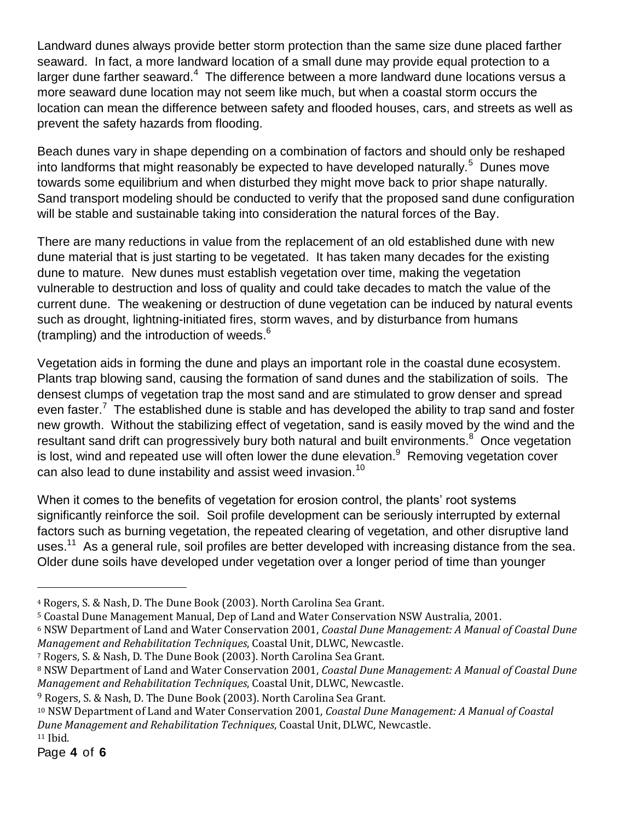Landward dunes always provide better storm protection than the same size dune placed farther seaward. In fact, a more landward location of a small dune may provide equal protection to a larger dune farther seaward. $4\,$  The difference between a more landward dune locations versus a more seaward dune location may not seem like much, but when a coastal storm occurs the location can mean the difference between safety and flooded houses, cars, and streets as well as prevent the safety hazards from flooding.

Beach dunes vary in shape depending on a combination of factors and should only be reshaped into landforms that might reasonably be expected to have developed naturally.<sup>5</sup> Dunes move towards some equilibrium and when disturbed they might move back to prior shape naturally. Sand transport modeling should be conducted to verify that the proposed sand dune configuration will be stable and sustainable taking into consideration the natural forces of the Bay.

There are many reductions in value from the replacement of an old established dune with new dune material that is just starting to be vegetated. It has taken many decades for the existing dune to mature. New dunes must establish vegetation over time, making the vegetation vulnerable to destruction and loss of quality and could take decades to match the value of the current dune. The weakening or destruction of dune vegetation can be induced by natural events such as drought, lightning-initiated fires, storm waves, and by disturbance from humans (trampling) and the introduction of weeds. $<sup>6</sup>$ </sup>

Vegetation aids in forming the dune and plays an important role in the coastal dune ecosystem. Plants trap blowing sand, causing the formation of sand dunes and the stabilization of soils. The densest clumps of vegetation trap the most sand and are stimulated to grow denser and spread even faster.<sup>7</sup> The established dune is stable and has developed the ability to trap sand and foster new growth. Without the stabilizing effect of vegetation, sand is easily moved by the wind and the resultant sand drift can progressively bury both natural and built environments.<sup>8</sup> Once vegetation is lost, wind and repeated use will often lower the dune elevation.<sup>9</sup> Removing vegetation cover can also lead to dune instability and assist weed invasion.<sup>10</sup>

When it comes to the benefits of vegetation for erosion control, the plants' root systems significantly reinforce the soil. Soil profile development can be seriously interrupted by external factors such as burning vegetation, the repeated clearing of vegetation, and other disruptive land uses.<sup>11</sup> As a general rule, soil profiles are better developed with increasing distance from the sea. Older dune soils have developed under vegetation over a longer period of time than younger

<sup>9</sup> Rogers, S. & Nash, D. The Dune Book (2003). North Carolina Sea Grant.

 $\overline{a}$ 

<sup>4</sup> Rogers, S. & Nash, D. The Dune Book (2003). North Carolina Sea Grant.

<sup>5</sup> Coastal Dune Management Manual, Dep of Land and Water Conservation NSW Australia, 2001.

<sup>6</sup> NSW Department of Land and Water Conservation 2001, *Coastal Dune Management: A Manual of Coastal Dune Management and Rehabilitation Techniques*, Coastal Unit, DLWC, Newcastle.

<sup>7</sup> Rogers, S. & Nash, D. The Dune Book (2003). North Carolina Sea Grant.

<sup>8</sup> NSW Department of Land and Water Conservation 2001, *Coastal Dune Management: A Manual of Coastal Dune Management and Rehabilitation Techniques*, Coastal Unit, DLWC, Newcastle.

<sup>10</sup> NSW Department of Land and Water Conservation 2001, *Coastal Dune Management: A Manual of Coastal Dune Management and Rehabilitation Techniques*, Coastal Unit, DLWC, Newcastle. <sup>11</sup> Ibid.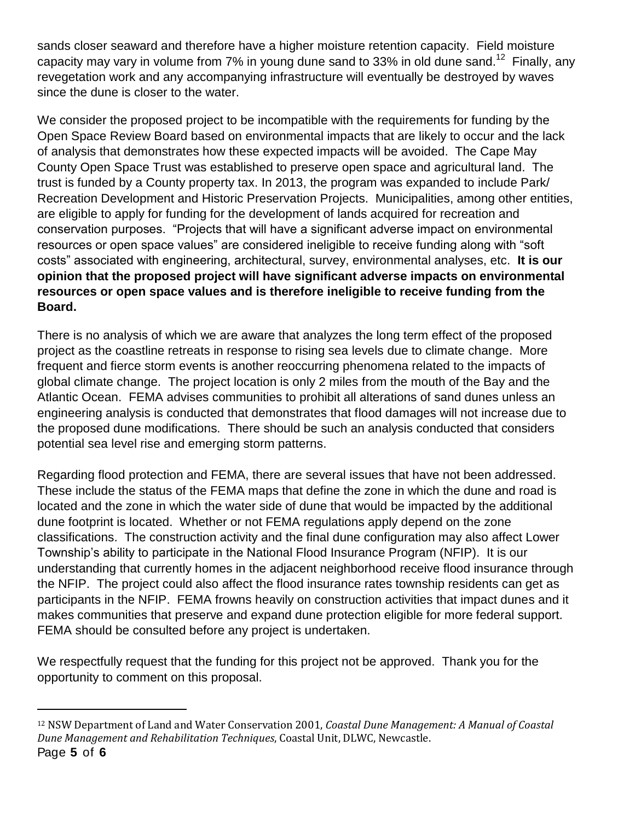sands closer seaward and therefore have a higher moisture retention capacity. Field moisture capacity may vary in volume from  $7\%$  in young dune sand to 33% in old dune sand.<sup>12</sup> Finally, any revegetation work and any accompanying infrastructure will eventually be destroyed by waves since the dune is closer to the water.

We consider the proposed project to be incompatible with the requirements for funding by the Open Space Review Board based on environmental impacts that are likely to occur and the lack of analysis that demonstrates how these expected impacts will be avoided. The Cape May County Open Space Trust was established to preserve open space and agricultural land. The trust is funded by a County property tax. In 2013, the program was expanded to include Park/ Recreation Development and Historic Preservation Projects. Municipalities, among other entities, are eligible to apply for funding for the development of lands acquired for recreation and conservation purposes. "Projects that will have a significant adverse impact on environmental resources or open space values" are considered ineligible to receive funding along with "soft costs" associated with engineering, architectural, survey, environmental analyses, etc. **It is our opinion that the proposed project will have significant adverse impacts on environmental resources or open space values and is therefore ineligible to receive funding from the Board.** 

There is no analysis of which we are aware that analyzes the long term effect of the proposed project as the coastline retreats in response to rising sea levels due to climate change. More frequent and fierce storm events is another reoccurring phenomena related to the impacts of global climate change. The project location is only 2 miles from the mouth of the Bay and the Atlantic Ocean. FEMA advises communities to prohibit all alterations of sand dunes unless an engineering analysis is conducted that demonstrates that flood damages will not increase due to the proposed dune modifications. There should be such an analysis conducted that considers potential sea level rise and emerging storm patterns.

Regarding flood protection and FEMA, there are several issues that have not been addressed. These include the status of the FEMA maps that define the zone in which the dune and road is located and the zone in which the water side of dune that would be impacted by the additional dune footprint is located. Whether or not FEMA regulations apply depend on the zone classifications. The construction activity and the final dune configuration may also affect Lower Township's ability to participate in the National Flood Insurance Program (NFIP). It is our understanding that currently homes in the adjacent neighborhood receive flood insurance through the NFIP. The project could also affect the flood insurance rates township residents can get as participants in the NFIP. FEMA frowns heavily on construction activities that impact dunes and it makes communities that preserve and expand dune protection eligible for more federal support. FEMA should be consulted before any project is undertaken.

We respectfully request that the funding for this project not be approved. Thank you for the opportunity to comment on this proposal.

 $\overline{a}$ 

Page **5** of **6** <sup>12</sup> NSW Department of Land and Water Conservation 2001, *Coastal Dune Management: A Manual of Coastal Dune Management and Rehabilitation Techniques*, Coastal Unit, DLWC, Newcastle.